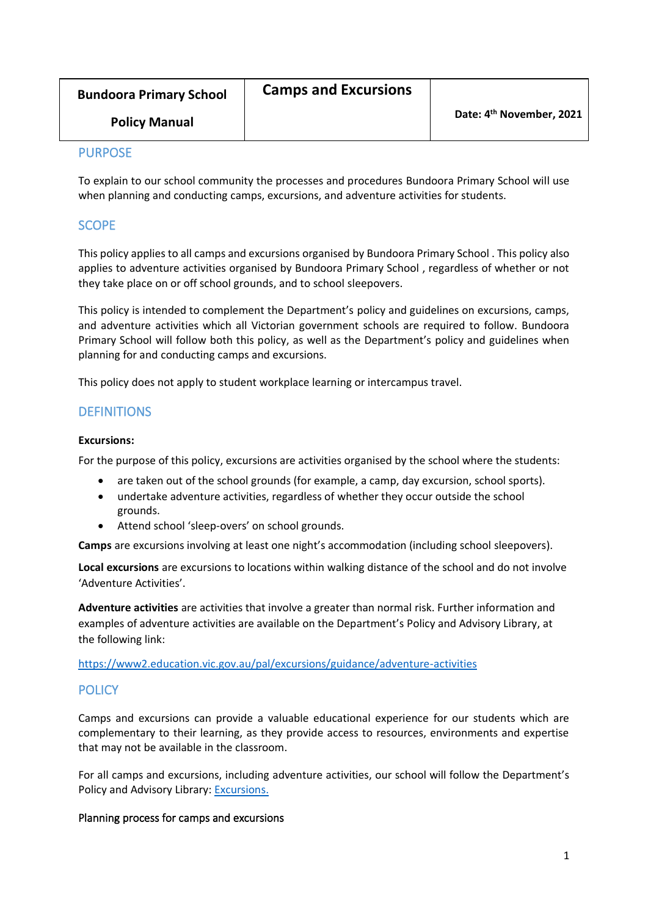| <b>Bundoora Primary School</b> | <b>Camps and Excursions</b> |                                      |
|--------------------------------|-----------------------------|--------------------------------------|
| <b>Policy Manual</b>           |                             | Date: 4 <sup>th</sup> November, 2021 |

## PURPOSE

To explain to our school community the processes and procedures Bundoora Primary School will use when planning and conducting camps, excursions, and adventure activities for students.

## **SCOPE**

This policy applies to all camps and excursions organised by Bundoora Primary School . This policy also applies to adventure activities organised by Bundoora Primary School , regardless of whether or not they take place on or off school grounds, and to school sleepovers.

This policy is intended to complement the Department's policy and guidelines on excursions, camps, and adventure activities which all Victorian government schools are required to follow. Bundoora Primary School will follow both this policy, as well as the Department's policy and guidelines when planning for and conducting camps and excursions.

This policy does not apply to student workplace learning or intercampus travel.

# **DEFINITIONS**

## **Excursions:**

For the purpose of this policy, excursions are activities organised by the school where the students:

- are taken out of the school grounds (for example, a camp, day excursion, school sports).
- undertake adventure activities, regardless of whether they occur outside the school grounds.
- Attend school 'sleep-overs' on school grounds.

**Camps** are excursions involving at least one night's accommodation (including school sleepovers).

**Local excursions** are excursions to locations within walking distance of the school and do not involve 'Adventure Activities'.

**Adventure activities** are activities that involve a greater than normal risk. Further information and examples of adventure activities are available on the Department's Policy and Advisory Library, at the following link:

<https://www2.education.vic.gov.au/pal/excursions/guidance/adventure-activities>

# **POLICY**

Camps and excursions can provide a valuable educational experience for our students which are complementary to their learning, as they provide access to resources, environments and expertise that may not be available in the classroom.

For all camps and excursions, including adventure activities, our school will follow the Department's Policy and Advisory Library: [Excursions.](https://www2.education.vic.gov.au/pal/excursions/policy)

## Planning process for camps and excursions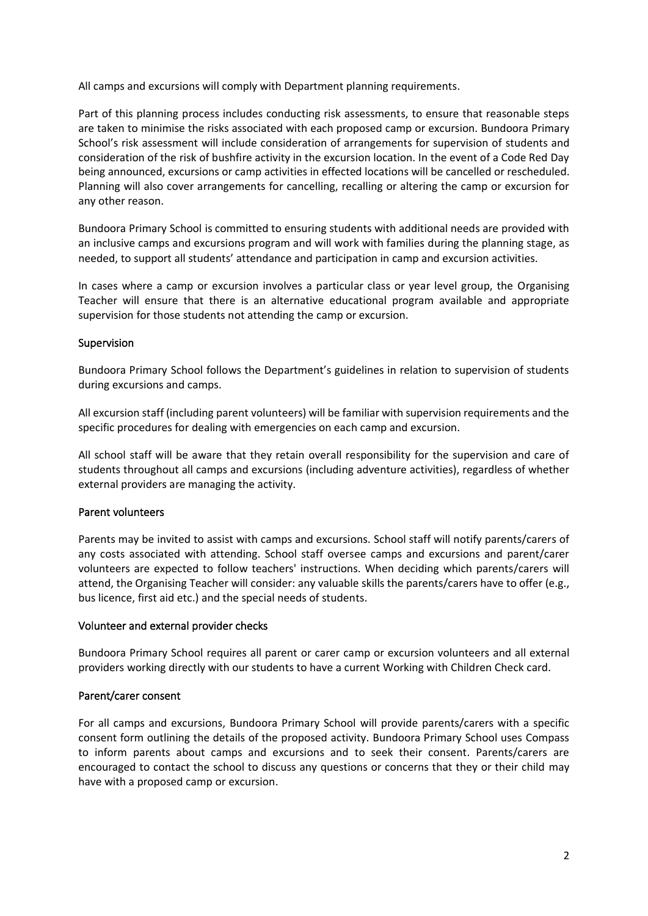All camps and excursions will comply with Department planning requirements.

Part of this planning process includes conducting risk assessments, to ensure that reasonable steps are taken to minimise the risks associated with each proposed camp or excursion. Bundoora Primary School's risk assessment will include consideration of arrangements for supervision of students and consideration of the risk of bushfire activity in the excursion location. In the event of a Code Red Day being announced, excursions or camp activities in effected locations will be cancelled or rescheduled. Planning will also cover arrangements for cancelling, recalling or altering the camp or excursion for any other reason.

Bundoora Primary School is committed to ensuring students with additional needs are provided with an inclusive camps and excursions program and will work with families during the planning stage, as needed, to support all students' attendance and participation in camp and excursion activities.

In cases where a camp or excursion involves a particular class or year level group, the Organising Teacher will ensure that there is an alternative educational program available and appropriate supervision for those students not attending the camp or excursion.

## Supervision

Bundoora Primary School follows the Department's guidelines in relation to supervision of students during excursions and camps.

All excursion staff (including parent volunteers) will be familiar with supervision requirements and the specific procedures for dealing with emergencies on each camp and excursion.

All school staff will be aware that they retain overall responsibility for the supervision and care of students throughout all camps and excursions (including adventure activities), regardless of whether external providers are managing the activity.

## Parent volunteers

Parents may be invited to assist with camps and excursions. School staff will notify parents/carers of any costs associated with attending. School staff oversee camps and excursions and parent/carer volunteers are expected to follow teachers' instructions. When deciding which parents/carers will attend, the Organising Teacher will consider: any valuable skills the parents/carers have to offer (e.g., bus licence, first aid etc.) and the special needs of students.

## Volunteer and external provider checks

Bundoora Primary School requires all parent or carer camp or excursion volunteers and all external providers working directly with our students to have a current Working with Children Check card.

## Parent/carer consent

For all camps and excursions, Bundoora Primary School will provide parents/carers with a specific consent form outlining the details of the proposed activity. Bundoora Primary School uses Compass to inform parents about camps and excursions and to seek their consent. Parents/carers are encouraged to contact the school to discuss any questions or concerns that they or their child may have with a proposed camp or excursion.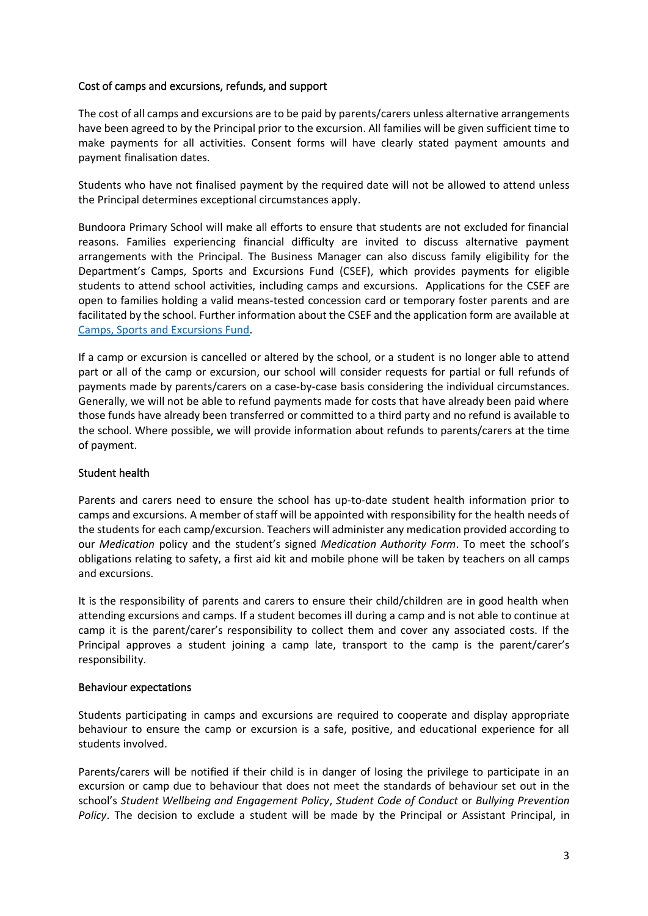## Cost of camps and excursions, refunds, and support

The cost of all camps and excursions are to be paid by parents/carers unless alternative arrangements have been agreed to by the Principal prior to the excursion. All families will be given sufficient time to make payments for all activities. Consent forms will have clearly stated payment amounts and payment finalisation dates.

Students who have not finalised payment by the required date will not be allowed to attend unless the Principal determines exceptional circumstances apply.

Bundoora Primary School will make all efforts to ensure that students are not excluded for financial reasons. Families experiencing financial difficulty are invited to discuss alternative payment arrangements with the Principal. The Business Manager can also discuss family eligibility for the Department's Camps, Sports and Excursions Fund (CSEF), which provides payments for eligible students to attend school activities, including camps and excursions. Applications for the CSEF are open to families holding a valid means-tested concession card or temporary foster parents and are facilitated by the school. Further information about the CSEF and the application form are available at [Camps, Sports and Excursions Fund.](https://www2.education.vic.gov.au/pal/camps-sports-and-excursions-fund/policy)

If a camp or excursion is cancelled or altered by the school, or a student is no longer able to attend part or all of the camp or excursion, our school will consider requests for partial or full refunds of payments made by parents/carers on a case-by-case basis considering the individual circumstances. Generally, we will not be able to refund payments made for costs that have already been paid where those funds have already been transferred or committed to a third party and no refund is available to the school. Where possible, we will provide information about refunds to parents/carers at the time of payment.

## Student health

Parents and carers need to ensure the school has up-to-date student health information prior to camps and excursions. A member of staff will be appointed with responsibility for the health needs of the students for each camp/excursion. Teachers will administer any medication provided according to our *Medication* policy and the student's signed *Medication Authority Form*. To meet the school's obligations relating to safety, a first aid kit and mobile phone will be taken by teachers on all camps and excursions.

It is the responsibility of parents and carers to ensure their child/children are in good health when attending excursions and camps. If a student becomes ill during a camp and is not able to continue at camp it is the parent/carer's responsibility to collect them and cover any associated costs. If the Principal approves a student joining a camp late, transport to the camp is the parent/carer's responsibility.

## Behaviour expectations

Students participating in camps and excursions are required to cooperate and display appropriate behaviour to ensure the camp or excursion is a safe, positive, and educational experience for all students involved.

Parents/carers will be notified if their child is in danger of losing the privilege to participate in an excursion or camp due to behaviour that does not meet the standards of behaviour set out in the school's *Student Wellbeing and Engagement Policy*, *Student Code of Conduct* or *Bullying Prevention Policy*. The decision to exclude a student will be made by the Principal or Assistant Principal, in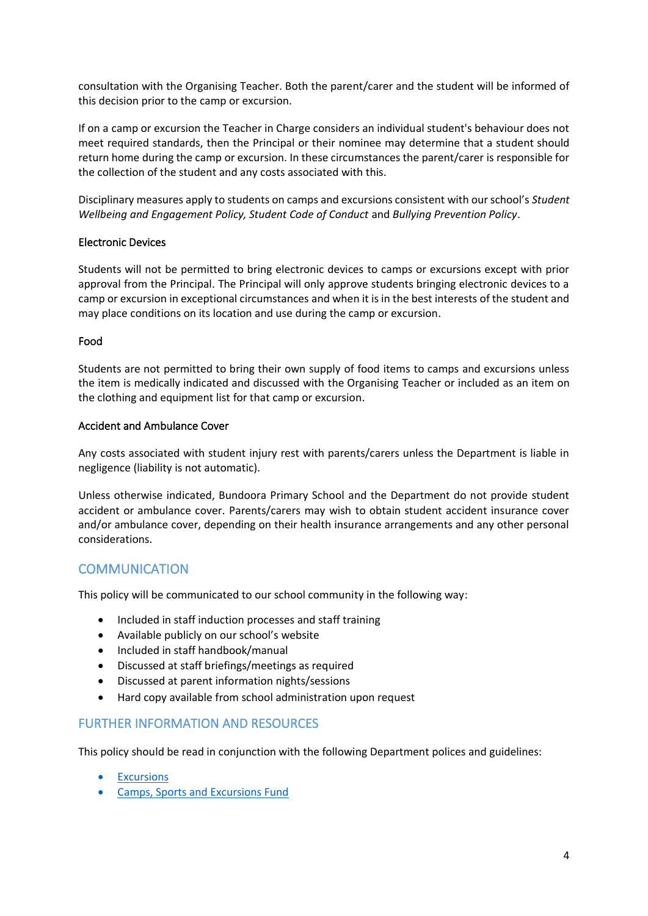consultation with the Organising Teacher. Both the parent/carer and the student will be informed of this decision prior to the camp or excursion.

If on a camp or excursion the Teacher in Charge considers an individual student's behaviour does not meet required standards, then the Principal or their nominee may determine that a student should return home during the camp or excursion. In these circumstances the parent/carer is responsible for the collection of the student and any costs associated with this.

Disciplinary measures apply to students on camps and excursions consistent with our school's *Student Wellbeing and Engagement Policy, Student Code of Conduct* and *Bullying Prevention Policy*.

## Electronic Devices

Students will not be permitted to bring electronic devices to camps or excursions except with prior approval from the Principal. The Principal will only approve students bringing electronic devices to a camp or excursion in exceptional circumstances and when it is in the best interests of the student and may place conditions on its location and use during the camp or excursion.

## Food

Students are not permitted to bring their own supply of food items to camps and excursions unless the item is medically indicated and discussed with the Organising Teacher or included as an item on the clothing and equipment list for that camp or excursion.

## Accident and Ambulance Cover

Any costs associated with student injury rest with parents/carers unless the Department is liable in negligence (liability is not automatic).

Unless otherwise indicated, Bundoora Primary School and the Department do not provide student accident or ambulance cover. Parents/carers may wish to obtain student accident insurance cover and/or ambulance cover, depending on their health insurance arrangements and any other personal considerations.

# **COMMUNICATION**

This policy will be communicated to our school community in the following way:

- Included in staff induction processes and staff training
- Available publicly on our school's website
- Included in staff handbook/manual
- Discussed at staff briefings/meetings as required
- Discussed at parent information nights/sessions
- Hard copy available from school administration upon request

# FURTHER INFORMATION AND RESOURCES

This policy should be read in conjunction with the following Department polices and guidelines:

- [Excursions](https://www2.education.vic.gov.au/pal/excursions/policy)
- [Camps, Sports and Excursions Fund](https://www2.education.vic.gov.au/pal/camps-sports-and-excursions-fund/policy)